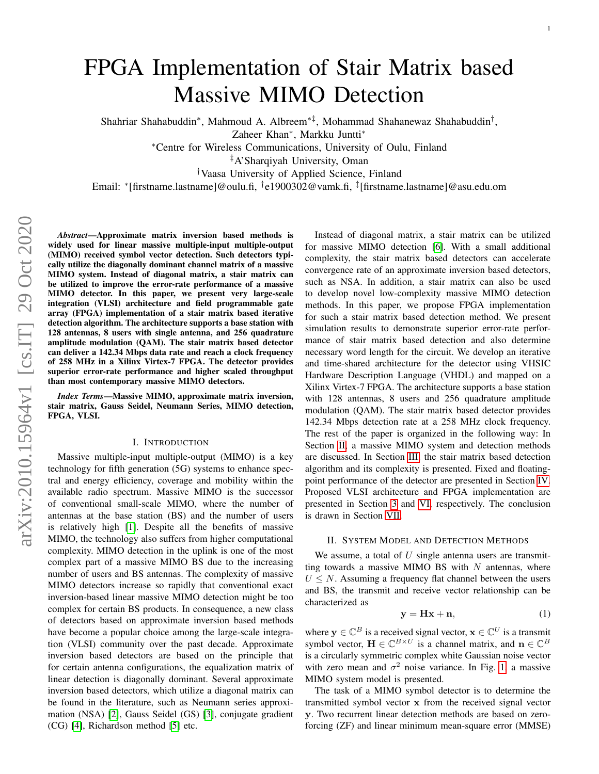Shahriar Shahabuddin<sup>∗</sup> , Mahmoud A. Albreem∗‡, Mohammad Shahanewaz Shahabuddin† ,

Zaheer Khan<sup>∗</sup> , Markku Juntti<sup>∗</sup>

<sup>∗</sup>Centre for Wireless Communications, University of Oulu, Finland

‡A'Sharqiyah University, Oman

†Vaasa University of Applied Science, Finland

Email: <sup>∗</sup> [firstname.lastname]@oulu.fi, † e1900302@vamk.fi, ‡ [firstname.lastname]@asu.edu.om

*Abstract*—Approximate matrix inversion based methods is widely used for linear massive multiple-input multiple-output (MIMO) received symbol vector detection. Such detectors typically utilize the diagonally dominant channel matrix of a massive MIMO system. Instead of diagonal matrix, a stair matrix can be utilized to improve the error-rate performance of a massive MIMO detector. In this paper, we present very large-scale integration (VLSI) architecture and field programmable gate array (FPGA) implementation of a stair matrix based iterative detection algorithm. The architecture supports a base station with 128 antennas, 8 users with single antenna, and 256 quadrature amplitude modulation (QAM). The stair matrix based detector can deliver a 142.34 Mbps data rate and reach a clock frequency of 258 MHz in a Xilinx Virtex-7 FPGA. The detector provides superior error-rate performance and higher scaled throughput than most contemporary massive MIMO detectors.

*Index Terms*—Massive MIMO, approximate matrix inversion, stair matrix, Gauss Seidel, Neumann Series, MIMO detection, FPGA, VLSI.

### I. INTRODUCTION

Massive multiple-input multiple-output (MIMO) is a key technology for fifth generation (5G) systems to enhance spectral and energy efficiency, coverage and mobility within the available radio spectrum. Massive MIMO is the successor of conventional small-scale MIMO, where the number of antennas at the base station (BS) and the number of users is relatively high [\[1\]](#page-3-0). Despite all the benefits of massive MIMO, the technology also suffers from higher computational complexity. MIMO detection in the uplink is one of the most complex part of a massive MIMO BS due to the increasing number of users and BS antennas. The complexity of massive MIMO detectors increase so rapidly that conventional exact inversion-based linear massive MIMO detection might be too complex for certain BS products. In consequence, a new class of detectors based on approximate inversion based methods have become a popular choice among the large-scale integration (VLSI) community over the past decade. Approximate inversion based detectors are based on the principle that for certain antenna configurations, the equalization matrix of linear detection is diagonally dominant. Several approximate inversion based detectors, which utilize a diagonal matrix can be found in the literature, such as Neumann series approximation (NSA) [\[2\]](#page-3-1), Gauss Seidel (GS) [\[3\]](#page-3-2), conjugate gradient (CG) [\[4\]](#page-3-3), Richardson method [\[5\]](#page-3-4) etc.

Instead of diagonal matrix, a stair matrix can be utilized for massive MIMO detection [\[6\]](#page-3-5). With a small additional complexity, the stair matrix based detectors can accelerate convergence rate of an approximate inversion based detectors, such as NSA. In addition, a stair matrix can also be used to develop novel low-complexity massive MIMO detection methods. In this paper, we propose FPGA implementation for such a stair matrix based detection method. We present simulation results to demonstrate superior error-rate performance of stair matrix based detection and also determine necessary word length for the circuit. We develop an iterative and time-shared architecture for the detector using VHSIC Hardware Description Language (VHDL) and mapped on a Xilinx Virtex-7 FPGA. The architecture supports a base station with 128 antennas, 8 users and 256 quadrature amplitude modulation (QAM). The stair matrix based detector provides 142.34 Mbps detection rate at a 258 MHz clock frequency. The rest of the paper is organized in the following way: In Section [II,](#page-0-0) a massive MIMO system and detection methods are discussed. In Section [III,](#page-1-0) the stair matrix based detection algorithm and its complexity is presented. Fixed and floatingpoint performance of the detector are presented in Section [IV.](#page-2-0) Proposed VLSI architecture and FPGA implementation are presented in Section [3](#page-2-1) and [VI,](#page-3-6) respectively. The conclusion is drawn in Section [VII.](#page-3-7)

### II. SYSTEM MODEL AND DETECTION METHODS

<span id="page-0-0"></span>We assume, a total of  $U$  single antenna users are transmitting towards a massive MIMO BS with  $N$  antennas, where  $U \leq N$ . Assuming a frequency flat channel between the users and BS, the transmit and receive vector relationship can be characterized as

$$
y = Hx + n,\tag{1}
$$

where  $y \in \mathbb{C}^B$  is a received signal vector,  $x \in \mathbb{C}^U$  is a transmit symbol vector,  $\mathbf{H} \in \mathbb{C}^{B \times U}$  is a channel matrix, and  $\mathbf{n} \in \mathbb{C}^{B}$ is a circularly symmetric complex white Gaussian noise vector with zero mean and  $\sigma^2$  noise variance. In Fig. [1,](#page-1-1) a massive MIMO system model is presented.

The task of a MIMO symbol detector is to determine the transmitted symbol vector x from the received signal vector y. Two recurrent linear detection methods are based on zeroforcing (ZF) and linear minimum mean-square error (MMSE)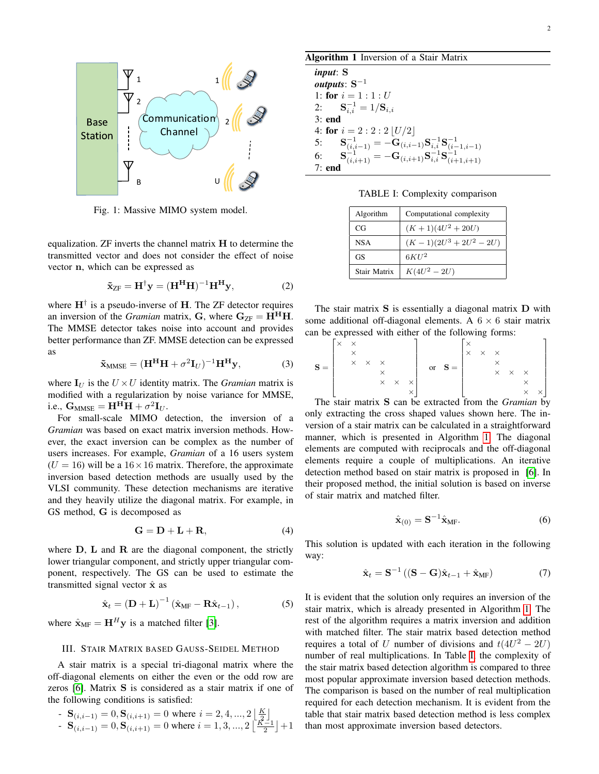<span id="page-1-1"></span>

Fig. 1: Massive MIMO system model.

equalization. ZF inverts the channel matrix H to determine the transmitted vector and does not consider the effect of noise vector n, which can be expressed as

$$
\tilde{\mathbf{x}}_{\text{ZF}} = \mathbf{H}^{\dagger} \mathbf{y} = (\mathbf{H}^{\mathbf{H}} \mathbf{H})^{-1} \mathbf{H}^{\mathbf{H}} \mathbf{y},\tag{2}
$$

where  $H^{\dagger}$  is a pseudo-inverse of H. The ZF detector requires an inversion of the *Gramian* matrix, **G**, where  $G_{ZF} = H^H H$ . The MMSE detector takes noise into account and provides better performance than ZF. MMSE detection can be expressed as

$$
\tilde{\mathbf{x}}_{MMSE} = (\mathbf{H}^{\mathbf{H}} \mathbf{H} + \sigma^2 \mathbf{I}_U)^{-1} \mathbf{H}^{\mathbf{H}} \mathbf{y},\tag{3}
$$

where  $I_U$  is the  $U \times U$  identity matrix. The *Gramian* matrix is modified with a regularization by noise variance for MMSE, i.e.,  $\mathbf{G}_{\mathrm{MMSE}} = \mathbf{H}^{\mathrm{H}} \mathbf{H} + \sigma^2 \mathbf{I}_U$ .

For small-scale MIMO detection, the inversion of a *Gramian* was based on exact matrix inversion methods. However, the exact inversion can be complex as the number of users increases. For example, *Gramian* of a 16 users system  $(U = 16)$  will be a  $16 \times 16$  matrix. Therefore, the approximate inversion based detection methods are usually used by the VLSI community. These detection mechanisms are iterative and they heavily utilize the diagonal matrix. For example, in GS method, G is decomposed as

$$
\mathbf{G} = \mathbf{D} + \mathbf{L} + \mathbf{R},\tag{4}
$$

where  $D$ ,  $L$  and  $R$  are the diagonal component, the strictly lower triangular component, and strictly upper triangular component, respectively. The GS can be used to estimate the transmitted signal vector  $\hat{\mathbf{x}}$  as

$$
\hat{\mathbf{x}}_t = \left(\mathbf{D} + \mathbf{L}\right)^{-1} \left(\hat{\mathbf{x}}_{\text{MF}} - \mathbf{R}\hat{\mathbf{x}}_{t-1}\right),\tag{5}
$$

where  $\hat{\mathbf{x}}_{\text{MF}} = \mathbf{H}^H \mathbf{y}$  is a matched filter [\[3\]](#page-3-2).

## <span id="page-1-0"></span>III. STAIR MATRIX BASED GAUSS-SEIDEL METHOD

A stair matrix is a special tri-diagonal matrix where the off-diagonal elements on either the even or the odd row are zeros [\[6\]](#page-3-5). Matrix S is considered as a stair matrix if one of the following conditions is satisfied:

- 
$$
\mathbf{S}_{(i,i-1)} = 0
$$
,  $\mathbf{S}_{(i,i+1)} = 0$  where  $i = 2, 4, ..., 2 \lfloor \frac{K}{2} \rfloor$   
\n-  $\mathbf{S}_{(i,i-1)} = 0$ ,  $\mathbf{S}_{(i,i+1)} = 0$  where  $i = 1, 3, ..., 2 \lfloor \frac{K-1}{2} \rfloor + 1$ 

# <span id="page-1-2"></span>Algorithm 1 Inversion of a Stair Matrix

*input*: S  $\bm{o}$ utputs:  $\mathbf{S}^{-1}$ 1: for  $i = 1 : 1 : U$ 2:  $S_{i,i}^{-1} = 1/S_{i,i}$ 3: end 4: for  $i = 2 : 2 : 2 [U/2]$ 5:  $\mathbf{S}_{(i,i-1)}^{-1} = -\mathbf{G}_{(i,i-1)} \mathbf{S}_{i,i}^{-1} \mathbf{S}_{(i-1,i-1)}^{-1}$  $\mathbf{S}_{(i,i+1)}^{-1} = -\mathbf{G}_{(i,i+1)}\mathbf{S}_{i,i}^{-1}\mathbf{S}_{(i+1,i+1)}^{-1}$ 7: end

TABLE I: Complexity comparison

<span id="page-1-3"></span>

| Algorithm    | Computational complexity |  |  |  |
|--------------|--------------------------|--|--|--|
| CG           | $(K+1)(4U^2+20U)$        |  |  |  |
| <b>NSA</b>   | $(K-1)(2U^3+2U^2-2U)$    |  |  |  |
| GS           | $6KU^2$                  |  |  |  |
| Stair Matrix | $K(4U^2 - 2U)$           |  |  |  |

The stair matrix S is essentially a diagonal matrix D with some additional off-diagonal elements. A  $6 \times 6$  stair matrix can be expressed with either of the following forms:

$$
\mathbf{S} = \begin{bmatrix} \times & \times & & & & \\ & \times & & & & & \\ & \times & \times & & & & \\ & & \times & \times & & & \times \\ & & & \times & & \times & \times \\ & & & & \times & & \times \end{bmatrix} \quad \text{or} \quad \mathbf{S} = \begin{bmatrix} \times & & & & & & \\ \times & \times & \times & & & & & \\ & \times & \times & \times & & & & \\ & & \times & \times & \times & & & & \\ & & \times & \times & \times & & & & \end{bmatrix}
$$

The stair matrix S can be extracted from the *Gramian* by only extracting the cross shaped values shown here. The inversion of a stair matrix can be calculated in a straightforward manner, which is presented in Algorithm [1.](#page-1-2) The diagonal elements are computed with reciprocals and the off-diagonal elements require a couple of multiplications. An iterative detection method based on stair matrix is proposed in [\[6\]](#page-3-5). In their proposed method, the initial solution is based on inverse of stair matrix and matched filter.

$$
\hat{\mathbf{x}}_{(0)} = \mathbf{S}^{-1} \hat{\mathbf{x}}_{\text{MF}}.\tag{6}
$$

This solution is updated with each iteration in the following way:

$$
\hat{\mathbf{x}}_t = \mathbf{S}^{-1} \left( (\mathbf{S} - \mathbf{G}) \hat{\mathbf{x}}_{t-1} + \hat{\mathbf{x}}_{\mathrm{MF}} \right) \tag{7}
$$

It is evident that the solution only requires an inversion of the stair matrix, which is already presented in Algorithm [1.](#page-1-2) The rest of the algorithm requires a matrix inversion and addition with matched filter. The stair matrix based detection method requires a total of U number of divisions and  $t(4U^2 - 2U)$ number of real multiplications. In Table [I,](#page-1-3) the complexity of the stair matrix based detection algorithm is compared to three most popular approximate inversion based detection methods. The comparison is based on the number of real multiplication required for each detection mechanism. It is evident from the table that stair matrix based detection method is less complex than most approximate inversion based detectors.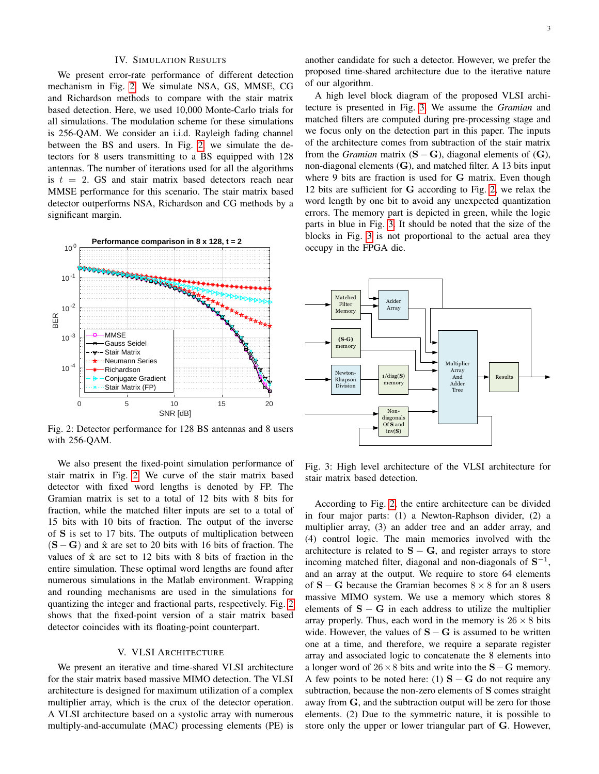# IV. SIMULATION RESULTS

<span id="page-2-0"></span>We present error-rate performance of different detection mechanism in Fig. [2.](#page-2-2) We simulate NSA, GS, MMSE, CG and Richardson methods to compare with the stair matrix based detection. Here, we used 10,000 Monte-Carlo trials for all simulations. The modulation scheme for these simulations is 256-QAM. We consider an i.i.d. Rayleigh fading channel between the BS and users. In Fig. [2,](#page-2-2) we simulate the detectors for 8 users transmitting to a BS equipped with 128 antennas. The number of iterations used for all the algorithms is  $t = 2$ . GS and stair matrix based detectors reach near MMSE performance for this scenario. The stair matrix based detector outperforms NSA, Richardson and CG methods by a significant margin.

<span id="page-2-2"></span>

Fig. 2: Detector performance for 128 BS antennas and 8 users with 256-QAM.

We also present the fixed-point simulation performance of stair matrix in Fig. [2.](#page-2-2) We curve of the stair matrix based detector with fixed word lengths is denoted by FP. The Gramian matrix is set to a total of 12 bits with 8 bits for fraction, while the matched filter inputs are set to a total of 15 bits with 10 bits of fraction. The output of the inverse of S is set to 17 bits. The outputs of multiplication between  $(S - G)$  and  $\hat{x}$  are set to 20 bits with 16 bits of fraction. The values of  $\hat{x}$  are set to 12 bits with 8 bits of fraction in the entire simulation. These optimal word lengths are found after numerous simulations in the Matlab environment. Wrapping and rounding mechanisms are used in the simulations for quantizing the integer and fractional parts, respectively. Fig. [2](#page-2-2) shows that the fixed-point version of a stair matrix based detector coincides with its floating-point counterpart.

#### V. VLSI ARCHITECTURE

We present an iterative and time-shared VLSI architecture for the stair matrix based massive MIMO detection. The VLSI architecture is designed for maximum utilization of a complex multiplier array, which is the crux of the detector operation. A VLSI architecture based on a systolic array with numerous multiply-and-accumulate (MAC) processing elements (PE) is

another candidate for such a detector. However, we prefer the proposed time-shared architecture due to the iterative nature of our algorithm.

A high level block diagram of the proposed VLSI architecture is presented in Fig. [3.](#page-2-1) We assume the *Gramian* and matched filters are computed during pre-processing stage and we focus only on the detection part in this paper. The inputs of the architecture comes from subtraction of the stair matrix from the *Gramian* matrix  $(S - G)$ , diagonal elements of  $(G)$ , non-diagonal elements (G), and matched filter. A 13 bits input where 9 bits are fraction is used for G matrix. Even though 12 bits are sufficient for G according to Fig. [2,](#page-2-2) we relax the word length by one bit to avoid any unexpected quantization errors. The memory part is depicted in green, while the logic parts in blue in Fig. [3.](#page-2-1) It should be noted that the size of the blocks in Fig. [3](#page-2-1) is not proportional to the actual area they occupy in the FPGA die.

<span id="page-2-1"></span>

Fig. 3: High level architecture of the VLSI architecture for stair matrix based detection.

According to Fig. [2,](#page-2-2) the entire architecture can be divided in four major parts: (1) a Newton-Raphson divider, (2) a multiplier array, (3) an adder tree and an adder array, and (4) control logic. The main memories involved with the architecture is related to  $S - G$ , and register arrays to store incoming matched filter, diagonal and non-diagonals of  $S^{-1}$ , and an array at the output. We require to store 64 elements of  $S - G$  because the Gramian becomes  $8 \times 8$  for an 8 users massive MIMO system. We use a memory which stores 8 elements of  $S - G$  in each address to utilize the multiplier array properly. Thus, each word in the memory is  $26 \times 8$  bits wide. However, the values of  $S - G$  is assumed to be written one at a time, and therefore, we require a separate register array and associated logic to concatenate the 8 elements into a longer word of  $26 \times 8$  bits and write into the S – G memory. A few points to be noted here: (1)  $S - G$  do not require any subtraction, because the non-zero elements of S comes straight away from G, and the subtraction output will be zero for those elements. (2) Due to the symmetric nature, it is possible to store only the upper or lower triangular part of G. However,